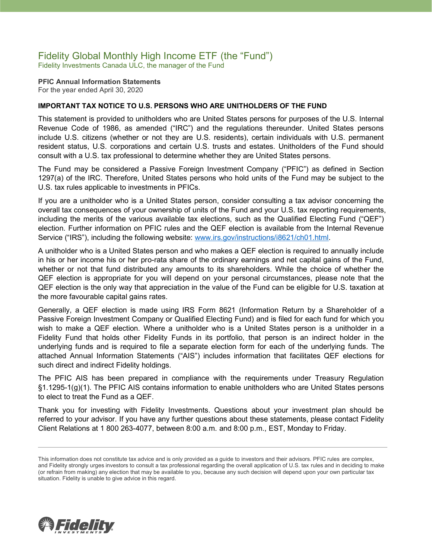# Fidelity Global Monthly High Income ETF (the "Fund")

Fidelity Investments Canada ULC, the manager of the Fund

**PFIC Annual Information Statements** For the year ended April 30, 2020

#### **IMPORTANT TAX NOTICE TO U.S. PERSONS WHO ARE UNITHOLDERS OF THE FUND**

This statement is provided to unitholders who are United States persons for purposes of the U.S. Internal Revenue Code of 1986, as amended ("IRC") and the regulations thereunder. United States persons include U.S. citizens (whether or not they are U.S. residents), certain individuals with U.S. permanent resident status, U.S. corporations and certain U.S. trusts and estates. Unitholders of the Fund should consult with a U.S. tax professional to determine whether they are United States persons.

The Fund may be considered a Passive Foreign Investment Company ("PFIC") as defined in Section 1297(a) of the IRC. Therefore, United States persons who hold units of the Fund may be subject to the U.S. tax rules applicable to investments in PFICs.

If you are a unitholder who is a United States person, consider consulting a tax advisor concerning the overall tax consequences of your ownership of units of the Fund and your U.S. tax reporting requirements, including the merits of the various available tax elections, such as the Qualified Electing Fund ("QEF") election. Further information on PFIC rules and the QEF election is available from the Internal Revenue Service ("IRS"), including the following website: [www.irs.gov/instructions/i8621/ch01.html.](http://www.irs.gov/instructions/i8621/ch01.html)

A unitholder who is a United States person and who makes a QEF election is required to annually include in his or her income his or her pro-rata share of the ordinary earnings and net capital gains of the Fund, whether or not that fund distributed any amounts to its shareholders. While the choice of whether the QEF election is appropriate for you will depend on your personal circumstances, please note that the QEF election is the only way that appreciation in the value of the Fund can be eligible for U.S. taxation at the more favourable capital gains rates.

Generally, a QEF election is made using IRS Form 8621 (Information Return by a Shareholder of a Passive Foreign Investment Company or Qualified Electing Fund) and is filed for each fund for which you wish to make a QEF election. Where a unitholder who is a United States person is a unitholder in a Fidelity Fund that holds other Fidelity Funds in its portfolio, that person is an indirect holder in the underlying funds and is required to file a separate election form for each of the underlying funds. The attached Annual Information Statements ("AIS") includes information that facilitates QEF elections for such direct and indirect Fidelity holdings.

The PFIC AIS has been prepared in compliance with the requirements under Treasury Regulation §1.1295-1(g)(1). The PFIC AIS contains information to enable unitholders who are United States persons to elect to treat the Fund as a QEF.

Thank you for investing with Fidelity Investments. Questions about your investment plan should be referred to your advisor. If you have any further questions about these statements, please contact Fidelity Client Relations at 1 800 263-4077, between 8:00 a.m. and 8:00 p.m., EST, Monday to Friday.



This information does not constitute tax advice and is only provided as a guide to investors and their advisors. PFIC rules are complex, and Fidelity strongly urges investors to consult a tax professional regarding the overall application of U.S. tax rules and in deciding to make (or refrain from making) any election that may be available to you, because any such decision will depend upon your own particular tax situation. Fidelity is unable to give advice in this regard.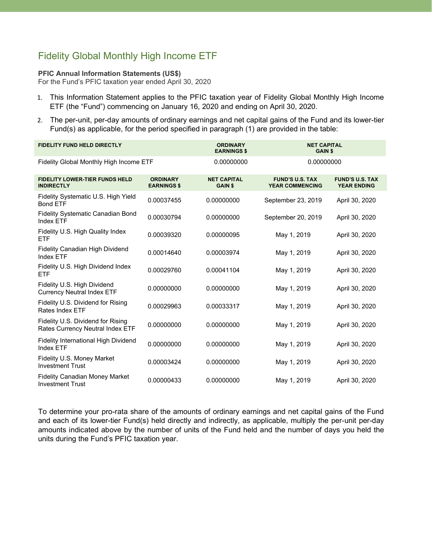## Fidelity Global Monthly High Income ETF

#### **PFIC Annual Information Statements (US\$)**

For the Fund's PFIC taxation year ended April 30, 2020

- 1. This Information Statement applies to the PFIC taxation year of Fidelity Global Monthly High Income ETF (the "Fund") commencing on January 16, 2020 and ending on April 30, 2020.
- 2. The per-unit, per-day amounts of ordinary earnings and net capital gains of the Fund and its lower-tier Fund(s) as applicable, for the period specified in paragraph (1) are provided in the table:

| <b>FIDELITY FUND HELD DIRECTLY</b>                                    |                                       | <b>ORDINARY</b><br><b>EARNINGS \$</b> | <b>NET CAPITAL</b><br><b>GAIN \$</b>             |                                              |
|-----------------------------------------------------------------------|---------------------------------------|---------------------------------------|--------------------------------------------------|----------------------------------------------|
| Fidelity Global Monthly High Income ETF                               |                                       | 0.00000000                            | 0.00000000                                       |                                              |
| <b>FIDELITY LOWER-TIER FUNDS HELD</b><br><b>INDIRECTLY</b>            | <b>ORDINARY</b><br><b>EARNINGS \$</b> | <b>NET CAPITAL</b><br><b>GAIN \$</b>  | <b>FUND'S U.S. TAX</b><br><b>YEAR COMMENCING</b> | <b>FUND'S U.S. TAX</b><br><b>YEAR ENDING</b> |
| Fidelity Systematic U.S. High Yield<br><b>Bond ETF</b>                | 0.00037455                            | 0.00000000                            | September 23, 2019                               | April 30, 2020                               |
| <b>Fidelity Systematic Canadian Bond</b><br>Index ETF                 | 0.00030794                            | 0.00000000                            | September 20, 2019                               | April 30, 2020                               |
| Fidelity U.S. High Quality Index<br><b>ETF</b>                        | 0.00039320                            | 0.00000095                            | May 1, 2019                                      | April 30, 2020                               |
| Fidelity Canadian High Dividend<br>Index ETF                          | 0.00014640                            | 0.00003974                            | May 1, 2019                                      | April 30, 2020                               |
| Fidelity U.S. High Dividend Index<br><b>ETF</b>                       | 0.00029760                            | 0.00041104                            | May 1, 2019                                      | April 30, 2020                               |
| Fidelity U.S. High Dividend<br><b>Currency Neutral Index ETF</b>      | 0.00000000                            | 0.00000000                            | May 1, 2019                                      | April 30, 2020                               |
| Fidelity U.S. Dividend for Rising<br>Rates Index ETF                  | 0.00029963                            | 0.00033317                            | May 1, 2019                                      | April 30, 2020                               |
| Fidelity U.S. Dividend for Rising<br>Rates Currency Neutral Index ETF | 0.00000000                            | 0.00000000                            | May 1, 2019                                      | April 30, 2020                               |
| <b>Fidelity International High Dividend</b><br>Index ETF              | 0.00000000                            | 0.00000000                            | May 1, 2019                                      | April 30, 2020                               |
| Fidelity U.S. Money Market<br><b>Investment Trust</b>                 | 0.00003424                            | 0.00000000                            | May 1, 2019                                      | April 30, 2020                               |
| <b>Fidelity Canadian Money Market</b><br><b>Investment Trust</b>      | 0.00000433                            | 0.00000000                            | May 1, 2019                                      | April 30, 2020                               |

To determine your pro-rata share of the amounts of ordinary earnings and net capital gains of the Fund and each of its lower-tier Fund(s) held directly and indirectly, as applicable, multiply the per-unit per-day amounts indicated above by the number of units of the Fund held and the number of days you held the units during the Fund's PFIC taxation year.